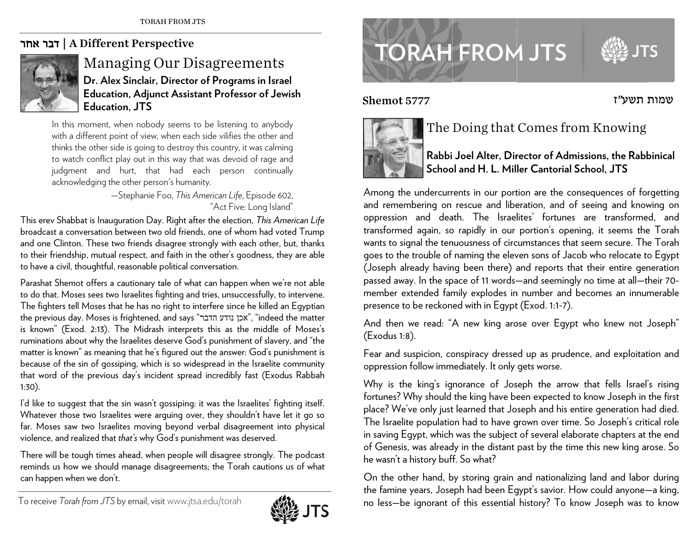## | דבר אחר A Different Perspective



## Managing Our Disagreements **Dr. Alex S inclair, Direct o or of Programs i in Israel Education, , Adjunct Assis tant Professor of Jewish Education, , JTS**

In t this moment, when n nobody seems to be listening to anybody with a different point of view, when each side vilifies the other and thinks the other side is going to destroy this country, it was calming to watch conflict play out in this way that was devoid of rage and judg gment and hu rt, that had e each person c ontinually acknowledging the other person's humanity.

> —Ste ephanie Foo, *This A American Life*, Epis sode 602, "Act Five: Lon ng Island"

This erev Shabbat is Inauguration Day. Right after the election, *This American Life* broadcast a conversation between two old friends, one of whom had voted Trump and one Clinton. These two friends disagree strongly with each other, but, thanks to their friendship, mutual respect, and faith in the other's goodness, they are able to have a civil, thoughtful, reasonable political conversation.

Parashat Shemot offers a cautionary tale of what can happen when we're not able to do that. Moses sees two Israelites fighting and tries, unsuccessfully, to intervene. The fighters tell Moses that he has no right to interfere since he killed an Egyptian the previous day. Moses is frightened, and says "אכן נודע הדבר", "indeed the matter is known" (Exod. 2:13). The Midrash interprets this as the middle of Moses's ruminations about why the Israelites deserve God's punishment of slavery, and "the matter is known" as meaning that he's figured out the answer: God's punishment is because of the sin of gossiping, which is so widespread in the Israelite community that word of the previous day's incident spread incredibly fast (Exodus Rabbah 1:30). see.nr.rsesyhee.org

I'd like to suggest that the sin wasn't gossiping: it was the Israelites' fighting itself. Whatever those two Israelites were arguing over, they shouldn't have let it go so far. Moses saw two Israelites moving beyond verbal disagreement into physical violence, an d d realized that *tha <sup>t</sup>'s* why God's pun nishment was dese rved.

There will be tough times ahead, when people will disagree strongly. The podcast reminds us how we should manage disagreements; the Torah cautions us of what can happen when we don't.



## **TORAH FROM JTS**

Shem



## The Doing that Comes fro m m Knowing

**Rabbi Joel Alter, Dir rector of Admisssions, the Rab binical Schoool and H. L. Miller Cantorial Scchool, JTS** 

שמות תשע"ז

Among the undercurrents in our portion are the consequences of forgetting and remembering on rescue and liberation, and of seeing and knowing on oppression and death. The Israelites' fortunes are transformed, and transformed again, so rapidly in our portion's opening, it seems the Torah wants to signal the tenuousness of circumstances that seem secure. The Torah goes to the trouble of naming the eleven sons of Jacob who relocate to Egypt (Jose p <sup>p</sup>h already havin ng been there) a and reports that t their entire ge neration passed away. In the space of 11 words—and seemingly no time at all—their 70member extended family explodes in number and becomes an innumerable presence to be reckoned with in Egypt (Exod. 1:1-7). Shemot 5777<br>
T<br>
T<br>
Among the unde<br>
and rememberin<br>
oppression and<br>
transformed agai<br>
wants to signal th<br>
goes to the troub<br>
(Joseph already<br>
passed away. In t<br>
member extende<br>
presence to be re<br>
F<br>
And then we re<br>
(Exodus

And then we read: "A new king arose over Egypt who knew not Joseph" (Exod us 1:8).

Fear and suspicion, conspiracy dressed up as prudence, and exploitation and oppression follow immediately. It only gets worse.

Why is the king's ignorance of Joseph the arrow that fells Israel's rising fortunes? Why should the king have been expected to know Joseph in the first place? We've only just learned that Joseph and his entire generation had died. The Israelite population had to have grown over time. So Joseph's critical role in saving Egypt, which was the subject of several elaborate chapters at the end of Genesis, was already in the distant past by the time this new king arose. So he wasn't a history buff. So what?

On the other hand, by storing grain and nationalizing land and labor during the famine years, Joseph had been Egypt's savior. How could anyone—a king, no less—be ignorant of this essential history? To know Joseph was to know